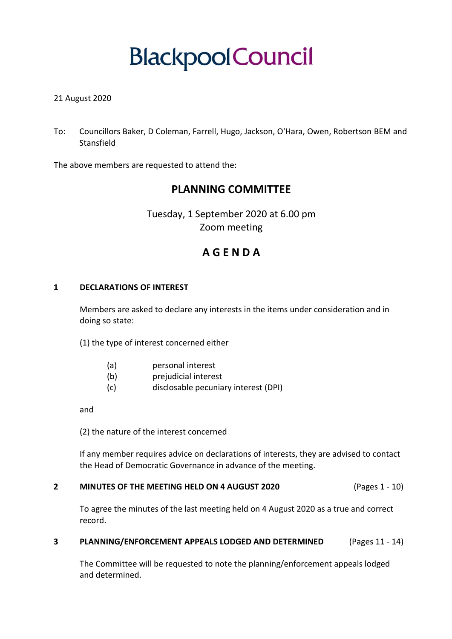# **Blackpool Council**

# 21 August 2020

To: Councillors Baker, D Coleman, Farrell, Hugo, Jackson, O'Hara, Owen, Robertson BEM and Stansfield

The above members are requested to attend the:

# **PLANNING COMMITTEE**

Tuesday, 1 September 2020 at 6.00 pm Zoom meeting

# **A G E N D A**

#### **1 DECLARATIONS OF INTEREST**

Members are asked to declare any interests in the items under consideration and in doing so state:

(1) the type of interest concerned either

- (a) personal interest
- (b) prejudicial interest
- (c) disclosable pecuniary interest (DPI)

and

(2) the nature of the interest concerned

If any member requires advice on declarations of interests, they are advised to contact the Head of Democratic Governance in advance of the meeting.

#### **2 MINUTES OF THE MEETING HELD ON 4 AUGUST 2020** (Pages 1 - 10)

To agree the minutes of the last meeting held on 4 August 2020 as a true and correct record.

#### **3 PLANNING/ENFORCEMENT APPEALS LODGED AND DETERMINED** (Pages 11 - 14)

The Committee will be requested to note the planning/enforcement appeals lodged and determined.